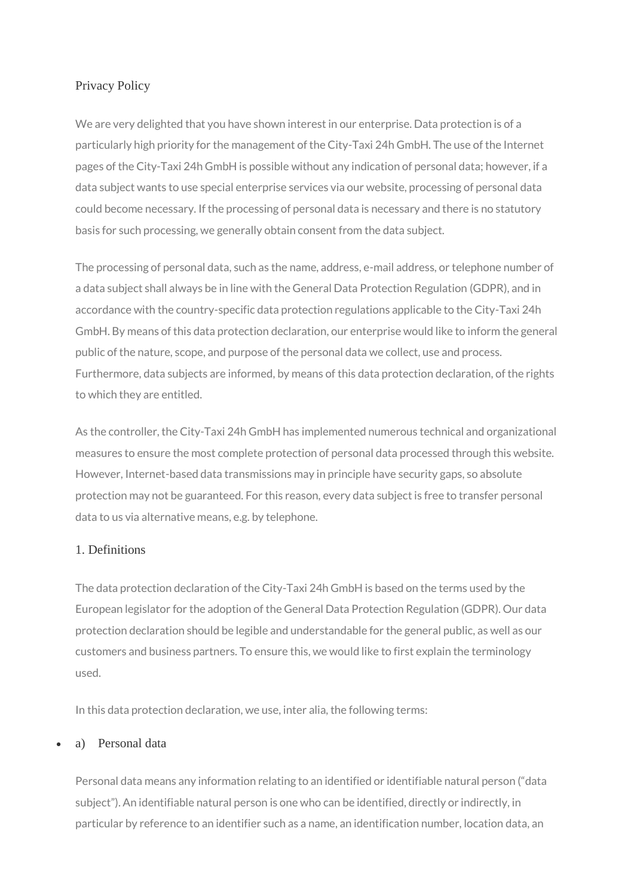### Privacy Policy

We are very delighted that you have shown interest in our enterprise. Data protection is of a particularly high priority for the management of the City-Taxi 24h GmbH. The use of the Internet pages of the City-Taxi 24h GmbH is possible without any indication of personal data; however, if a data subject wants to use special enterprise services via our website, processing of personal data could become necessary. If the processing of personal data is necessary and there is no statutory basis for such processing, we generally obtain consent from the data subject.

The processing of personal data, such as the name, address, e-mail address, or telephone number of a data subject shall always be in line with the General Data Protection Regulation (GDPR), and in accordance with the country-specific data protection regulations applicable to the City-Taxi 24h GmbH. By means of this data protection declaration, our enterprise would like to inform the general public of the nature, scope, and purpose of the personal data we collect, use and process. Furthermore, data subjects are informed, by means of this data protection declaration, of the rights to which they are entitled.

As the controller, the City-Taxi 24h GmbH has implemented numerous technical and organizational measures to ensure the most complete protection of personal data processed through this website. However, Internet-based data transmissions may in principle have security gaps, so absolute protection may not be guaranteed. For this reason, every data subject is free to transfer personal data to us via alternative means, e.g. by telephone.

### 1. Definitions

The data protection declaration of the City-Taxi 24h GmbH is based on the terms used by the European legislator for the adoption of the General Data Protection Regulation (GDPR). Our data protection declaration should be legible and understandable for the general public, as well as our customers and business partners. To ensure this, we would like to first explain the terminology used.

In this data protection declaration, we use, inter alia, the following terms:

#### a) Personal data

Personal data means any information relating to an identified or identifiable natural person ("data subject"). An identifiable natural person is one who can be identified, directly or indirectly, in particular by reference to an identifier such as a name, an identification number, location data, an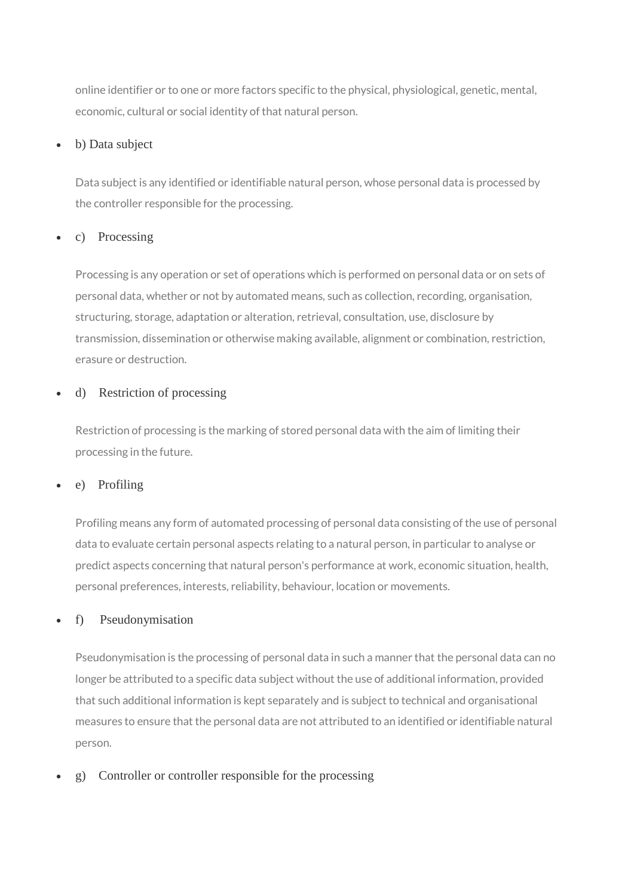online identifier or to one or more factors specific to the physical, physiological, genetic, mental, economic, cultural or social identity of that natural person.

### b) Data subject

Data subject is any identified or identifiable natural person, whose personal data is processed by the controller responsible for the processing.

# c) Processing

Processing is any operation or set of operations which is performed on personal data or on sets of personal data, whether or not by automated means, such as collection, recording, organisation, structuring, storage, adaptation or alteration, retrieval, consultation, use, disclosure by transmission, dissemination or otherwise making available, alignment or combination, restriction, erasure or destruction.

# d) Restriction of processing

Restriction of processing is the marking of stored personal data with the aim of limiting their processing in the future.

# e) Profiling

Profiling means any form of automated processing of personal data consisting of the use of personal data to evaluate certain personal aspects relating to a natural person, in particular to analyse or predict aspects concerning that natural person's performance at work, economic situation, health, personal preferences, interests, reliability, behaviour, location or movements.

# f) Pseudonymisation

Pseudonymisation is the processing of personal data in such a manner that the personal data can no longer be attributed to a specific data subject without the use of additional information, provided that such additional information is kept separately and is subject to technical and organisational measures to ensure that the personal data are not attributed to an identified or identifiable natural person.

g) Controller or controller responsible for the processing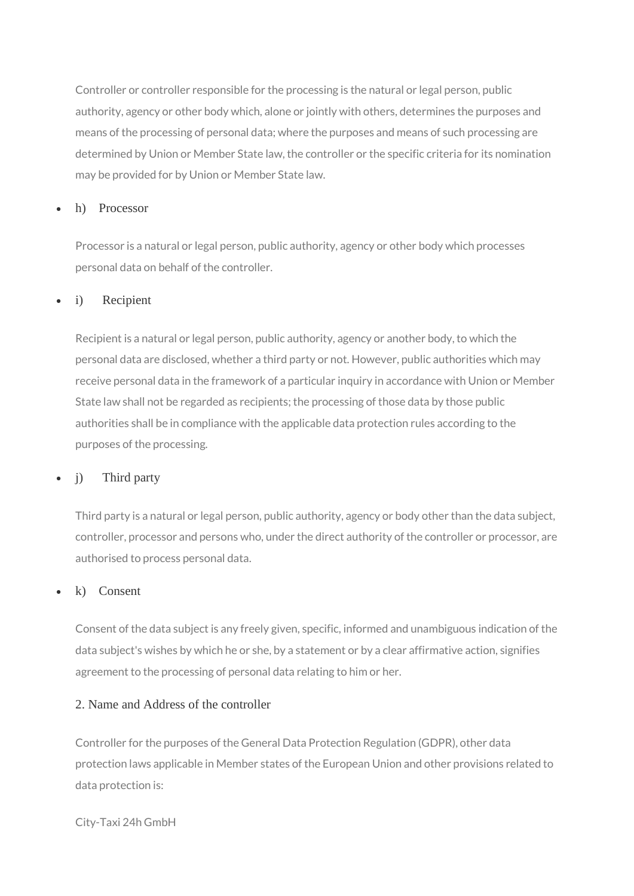Controller or controller responsible for the processing is the natural or legal person, public authority, agency or other body which, alone or jointly with others, determines the purposes and means of the processing of personal data; where the purposes and means of such processing are determined by Union or Member State law, the controller or the specific criteria for its nomination may be provided for by Union or Member State law.

#### h) Processor

Processor is a natural or legal person, public authority, agency or other body which processes personal data on behalf of the controller.

#### i) Recipient

Recipient is a natural or legal person, public authority, agency or another body, to which the personal data are disclosed, whether a third party or not. However, public authorities which may receive personal data in the framework of a particular inquiry in accordance with Union or Member State law shall not be regarded as recipients; the processing of those data by those public authorities shall be in compliance with the applicable data protection rules according to the purposes of the processing.

#### j) Third party

Third party is a natural or legal person, public authority, agency or body other than the data subject, controller, processor and persons who, under the direct authority of the controller or processor, are authorised to process personal data.

#### k) Consent

Consent of the data subject is any freely given, specific, informed and unambiguous indication of the data subject's wishes by which he or she, by a statement or by a clear affirmative action, signifies agreement to the processing of personal data relating to him or her.

#### 2. Name and Address of the controller

Controller for the purposes of the General Data Protection Regulation (GDPR), other data protection laws applicable in Member states of the European Union and other provisions related to data protection is:

City-Taxi 24h GmbH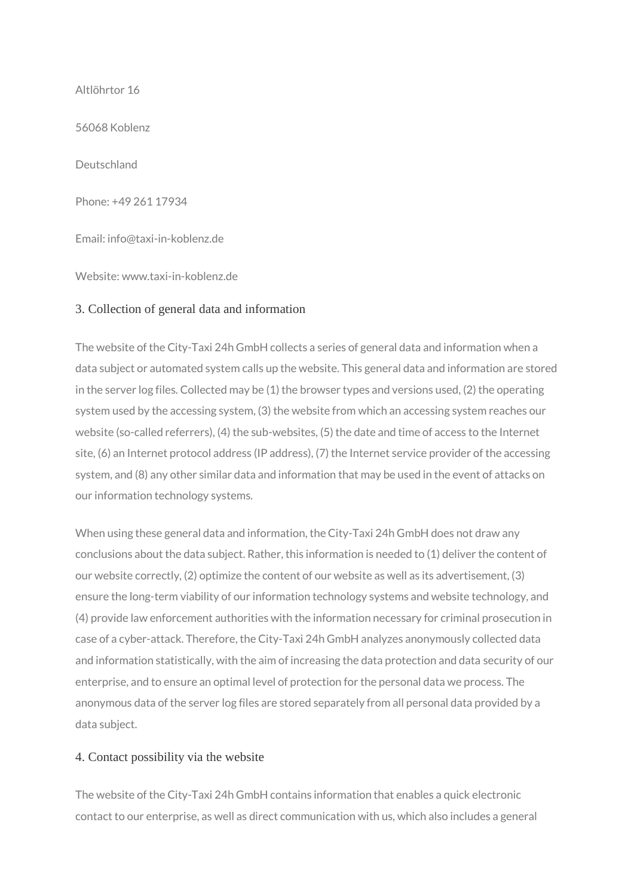Altlöhrtor 16

56068 Koblenz

**Deutschland** 

Phone: +49 261 17934

Email: info@taxi-in-koblenz.de

Website: www.taxi-in-koblenz.de

### 3. Collection of general data and information

The website of the City-Taxi 24h GmbH collects a series of general data and information when a data subject or automated system calls up the website. This general data and information are stored in the server log files. Collected may be (1) the browser types and versions used, (2) the operating system used by the accessing system, (3) the website from which an accessing system reaches our website (so-called referrers), (4) the sub-websites, (5) the date and time of access to the Internet site, (6) an Internet protocol address (IP address), (7) the Internet service provider of the accessing system, and (8) any other similar data and information that may be used in the event of attacks on our information technology systems.

When using these general data and information, the City-Taxi 24h GmbH does not draw any conclusions about the data subject. Rather, this information is needed to (1) deliver the content of our website correctly, (2) optimize the content of our website as well as its advertisement, (3) ensure the long-term viability of our information technology systems and website technology, and (4) provide law enforcement authorities with the information necessary for criminal prosecution in case of a cyber-attack. Therefore, the City-Taxi 24h GmbH analyzes anonymously collected data and information statistically, with the aim of increasing the data protection and data security of our enterprise, and to ensure an optimal level of protection for the personal data we process. The anonymous data of the server log files are stored separately from all personal data provided by a data subject.

### 4. Contact possibility via the website

The website of the City-Taxi 24h GmbH contains information that enables a quick electronic contact to our enterprise, as well as direct communication with us, which also includes a general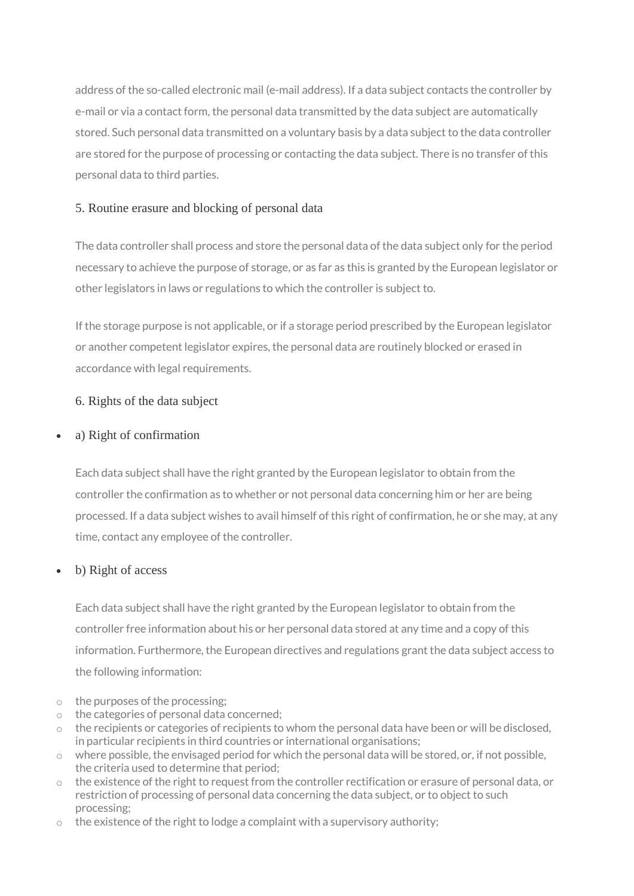address of the so-called electronic mail (e-mail address). If a data subject contacts the controller by e-mail or via a contact form, the personal data transmitted by the data subject are automatically stored. Such personal data transmitted on a voluntary basis by a data subject to the data controller are stored for the purpose of processing or contacting the data subject. There is no transfer of this personal data to third parties.

### 5. Routine erasure and blocking of personal data

The data controller shall process and store the personal data of the data subject only for the period necessary to achieve the purpose of storage, or as far as this is granted by the European legislator or other legislators in laws or regulations to which the controller is subject to.

If the storage purpose is not applicable, or if a storage period prescribed by the European legislator or another competent legislator expires, the personal data are routinely blocked or erased in accordance with legal requirements.

### 6. Rights of the data subject

### a) Right of confirmation

Each data subject shall have the right granted by the European legislator to obtain from the controller the confirmation as to whether or not personal data concerning him or her are being processed. If a data subject wishes to avail himself of this right of confirmation, he or she may, at any time, contact any employee of the controller.

# b) Right of access

Each data subject shall have the right granted by the European legislator to obtain from the controller free information about his or her personal data stored at any time and a copy of this information. Furthermore, the European directives and regulations grant the data subject access to the following information:

- $\circ$  the purposes of the processing;
- o the categories of personal data concerned;
- $\circ$  the recipients or categories of recipients to whom the personal data have been or will be disclosed, in particular recipients in third countries or international organisations;
- $\circ$  where possible, the envisaged period for which the personal data will be stored, or, if not possible, the criteria used to determine that period;
- $\circ$  the existence of the right to request from the controller rectification or erasure of personal data, or restriction of processing of personal data concerning the data subject, or to object to such processing;
- $\circ$  the existence of the right to lodge a complaint with a supervisory authority;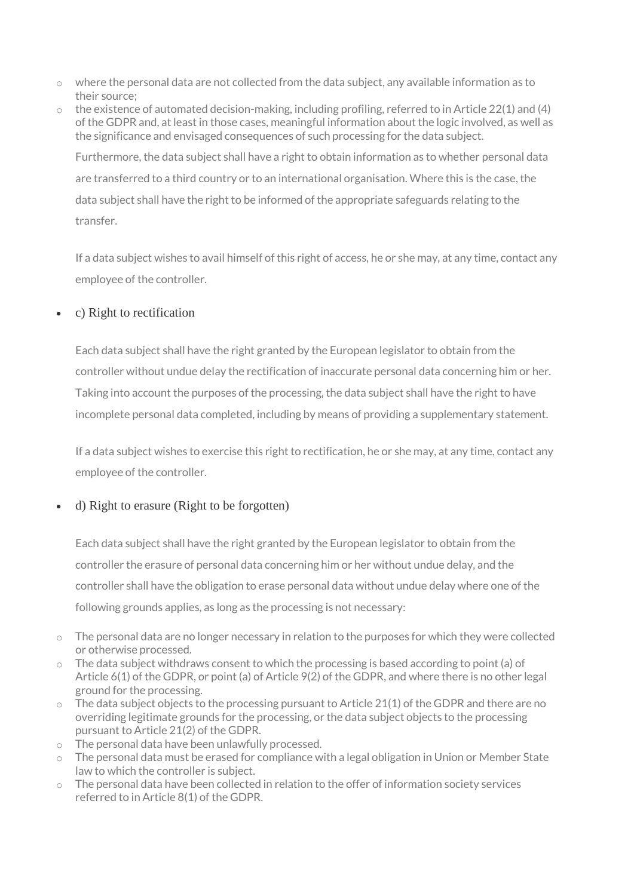- o where the personal data are not collected from the data subject, any available information as to their source;
- $\circ$  the existence of automated decision-making, including profiling, referred to in Article 22(1) and (4) of the GDPR and, at least in those cases, meaningful information about the logic involved, as well as the significance and envisaged consequences of such processing for the data subject.

Furthermore, the data subject shall have a right to obtain information as to whether personal data are transferred to a third country or to an international organisation. Where this is the case, the data subject shall have the right to be informed of the appropriate safeguards relating to the transfer.

If a data subject wishes to avail himself of this right of access, he or she may, at any time, contact any employee of the controller.

# c) Right to rectification

Each data subject shall have the right granted by the European legislator to obtain from the controller without undue delay the rectification of inaccurate personal data concerning him or her. Taking into account the purposes of the processing, the data subject shall have the right to have incomplete personal data completed, including by means of providing a supplementary statement.

If a data subject wishes to exercise this right to rectification, he or she may, at any time, contact any employee of the controller.

# d) Right to erasure (Right to be forgotten)

Each data subject shall have the right granted by the European legislator to obtain from the controller the erasure of personal data concerning him or her without undue delay, and the controller shall have the obligation to erase personal data without undue delay where one of the following grounds applies, as long as the processing is not necessary:

- $\circ$  The personal data are no longer necessary in relation to the purposes for which they were collected or otherwise processed.
- $\circ$  The data subject withdraws consent to which the processing is based according to point (a) of Article 6(1) of the GDPR, or point (a) of Article 9(2) of the GDPR, and where there is no other legal ground for the processing.
- o The data subject objects to the processing pursuant to Article 21(1) of the GDPR and there are no overriding legitimate grounds for the processing, or the data subject objects to the processing pursuant to Article 21(2) of the GDPR.
- o The personal data have been unlawfully processed.
- $\circ$  The personal data must be erased for compliance with a legal obligation in Union or Member State law to which the controller is subject.
- $\circ$  The personal data have been collected in relation to the offer of information society services referred to in Article 8(1) of the GDPR.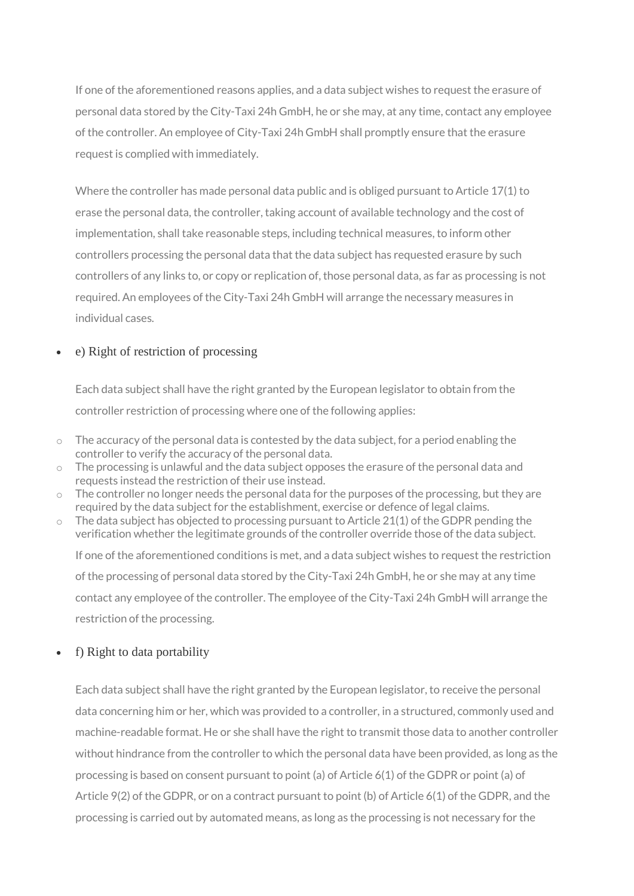If one of the aforementioned reasons applies, and a data subject wishes to request the erasure of personal data stored by the City-Taxi 24h GmbH, he or she may, at any time, contact any employee of the controller. An employee of City-Taxi 24h GmbH shall promptly ensure that the erasure request is complied with immediately.

Where the controller has made personal data public and is obliged pursuant to Article 17(1) to erase the personal data, the controller, taking account of available technology and the cost of implementation, shall take reasonable steps, including technical measures, to inform other controllers processing the personal data that the data subject has requested erasure by such controllers of any links to, or copy or replication of, those personal data, as far as processing is not required. An employees of the City-Taxi 24h GmbH will arrange the necessary measures in individual cases.

### e) Right of restriction of processing

Each data subject shall have the right granted by the European legislator to obtain from the controller restriction of processing where one of the following applies:

- $\circ$  The accuracy of the personal data is contested by the data subject, for a period enabling the controller to verify the accuracy of the personal data.
- o The processing is unlawful and the data subject opposes the erasure of the personal data and requests instead the restriction of their use instead.
- o The controller no longer needs the personal data for the purposes of the processing, but they are required by the data subject for the establishment, exercise or defence of legal claims.
- $\circ$  The data subject has objected to processing pursuant to Article 21(1) of the GDPR pending the verification whether the legitimate grounds of the controller override those of the data subject.

If one of the aforementioned conditions is met, and a data subject wishes to request the restriction of the processing of personal data stored by the City-Taxi 24h GmbH, he or she may at any time contact any employee of the controller. The employee of the City-Taxi 24h GmbH will arrange the restriction of the processing.

### f) Right to data portability

Each data subject shall have the right granted by the European legislator, to receive the personal data concerning him or her, which was provided to a controller, in a structured, commonly used and machine-readable format. He or she shall have the right to transmit those data to another controller without hindrance from the controller to which the personal data have been provided, as long as the processing is based on consent pursuant to point (a) of Article 6(1) of the GDPR or point (a) of Article 9(2) of the GDPR, or on a contract pursuant to point (b) of Article 6(1) of the GDPR, and the processing is carried out by automated means, as long as the processing is not necessary for the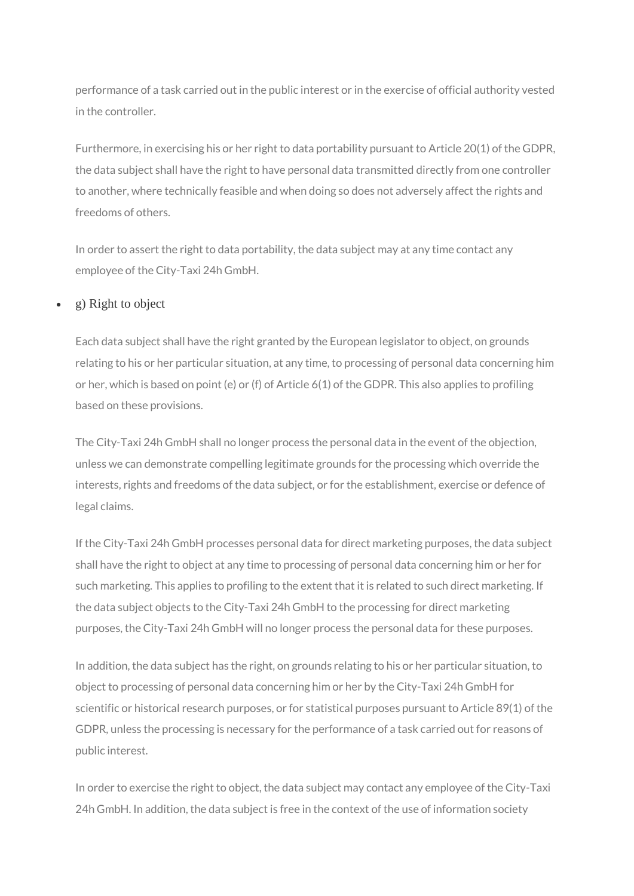performance of a task carried out in the public interest or in the exercise of official authority vested in the controller.

Furthermore, in exercising his or her right to data portability pursuant to Article 20(1) of the GDPR, the data subject shall have the right to have personal data transmitted directly from one controller to another, where technically feasible and when doing so does not adversely affect the rights and freedoms of others.

In order to assert the right to data portability, the data subject may at any time contact any employee of the City-Taxi 24h GmbH.

#### g) Right to object

Each data subject shall have the right granted by the European legislator to object, on grounds relating to his or her particular situation, at any time, to processing of personal data concerning him or her, which is based on point (e) or (f) of Article 6(1) of the GDPR. This also applies to profiling based on these provisions.

The City-Taxi 24h GmbH shall no longer process the personal data in the event of the objection, unless we can demonstrate compelling legitimate grounds for the processing which override the interests, rights and freedoms of the data subject, or for the establishment, exercise or defence of legal claims.

If the City-Taxi 24h GmbH processes personal data for direct marketing purposes, the data subject shall have the right to object at any time to processing of personal data concerning him or her for such marketing. This applies to profiling to the extent that it is related to such direct marketing. If the data subject objects to the City-Taxi 24h GmbH to the processing for direct marketing purposes, the City-Taxi 24h GmbH will no longer process the personal data for these purposes.

In addition, the data subject has the right, on grounds relating to his or her particular situation, to object to processing of personal data concerning him or her by the City-Taxi 24h GmbH for scientific or historical research purposes, or for statistical purposes pursuant to Article 89(1) of the GDPR, unless the processing is necessary for the performance of a task carried out for reasons of public interest.

In order to exercise the right to object, the data subject may contact any employee of the City-Taxi 24h GmbH. In addition, the data subject is free in the context of the use of information society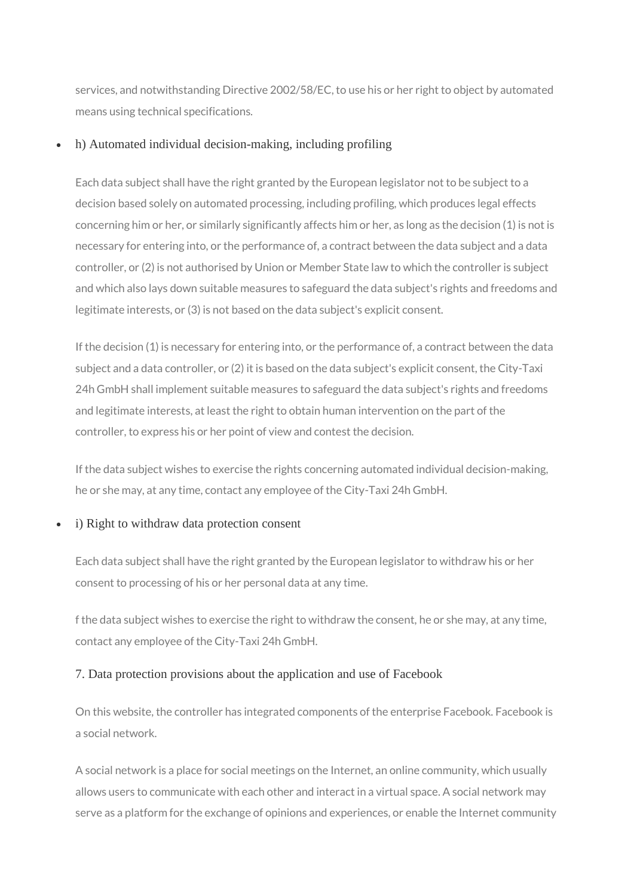services, and notwithstanding Directive 2002/58/EC, to use his or her right to object by automated means using technical specifications.

### h) Automated individual decision-making, including profiling

Each data subject shall have the right granted by the European legislator not to be subject to a decision based solely on automated processing, including profiling, which produces legal effects concerning him or her, or similarly significantly affects him or her, as long as the decision (1) is not is necessary for entering into, or the performance of, a contract between the data subject and a data controller, or (2) is not authorised by Union or Member State law to which the controller is subject and which also lays down suitable measures to safeguard the data subject's rights and freedoms and legitimate interests, or (3) is not based on the data subject's explicit consent.

If the decision (1) is necessary for entering into, or the performance of, a contract between the data subject and a data controller, or (2) it is based on the data subject's explicit consent, the City-Taxi 24h GmbH shall implement suitable measures to safeguard the data subject's rights and freedoms and legitimate interests, at least the right to obtain human intervention on the part of the controller, to express his or her point of view and contest the decision.

If the data subject wishes to exercise the rights concerning automated individual decision-making, he or she may, at any time, contact any employee of the City-Taxi 24h GmbH.

# i) Right to withdraw data protection consent

Each data subject shall have the right granted by the European legislator to withdraw his or her consent to processing of his or her personal data at any time.

f the data subject wishes to exercise the right to withdraw the consent, he or she may, at any time, contact any employee of the City-Taxi 24h GmbH.

# 7. Data protection provisions about the application and use of Facebook

On this website, the controller has integrated components of the enterprise Facebook. Facebook is a social network.

A social network is a place for social meetings on the Internet, an online community, which usually allows users to communicate with each other and interact in a virtual space. A social network may serve as a platform for the exchange of opinions and experiences, or enable the Internet community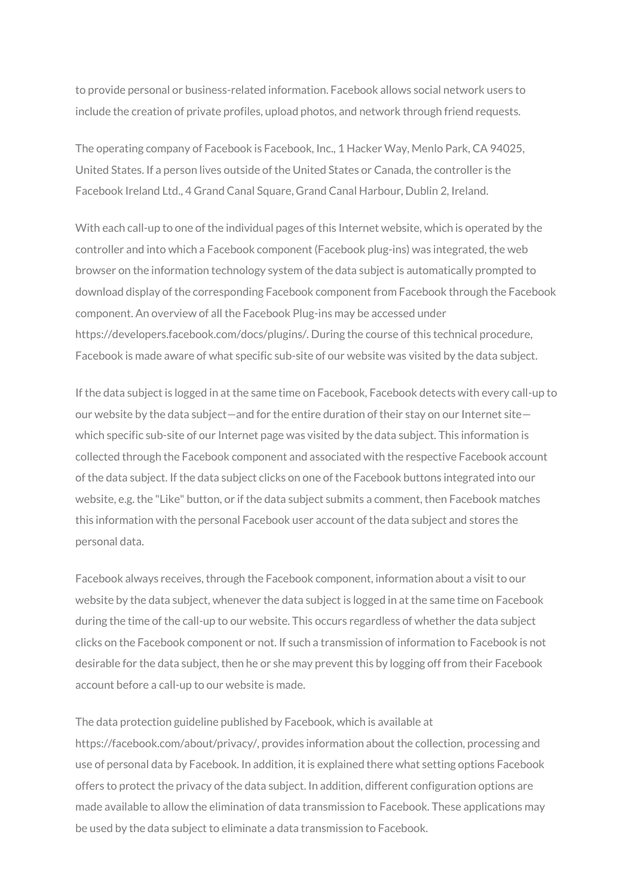to provide personal or business-related information. Facebook allows social network users to include the creation of private profiles, upload photos, and network through friend requests.

The operating company of Facebook is Facebook, Inc., 1 Hacker Way, Menlo Park, CA 94025, United States. If a person lives outside of the United States or Canada, the controller is the Facebook Ireland Ltd., 4 Grand Canal Square, Grand Canal Harbour, Dublin 2, Ireland.

With each call-up to one of the individual pages of this Internet website, which is operated by the controller and into which a Facebook component (Facebook plug-ins) was integrated, the web browser on the information technology system of the data subject is automatically prompted to download display of the corresponding Facebook component from Facebook through the Facebook component. An overview of all the Facebook Plug-ins may be accessed under https://developers.facebook.com/docs/plugins/. During the course of this technical procedure, Facebook is made aware of what specific sub-site of our website was visited by the data subject.

If the data subject is logged in at the same time on Facebook, Facebook detects with every call-up to our website by the data subject—and for the entire duration of their stay on our Internet site which specific sub-site of our Internet page was visited by the data subject. This information is collected through the Facebook component and associated with the respective Facebook account of the data subject. If the data subject clicks on one of the Facebook buttons integrated into our website, e.g. the "Like" button, or if the data subject submits a comment, then Facebook matches this information with the personal Facebook user account of the data subject and stores the personal data.

Facebook always receives, through the Facebook component, information about a visit to our website by the data subject, whenever the data subject is logged in at the same time on Facebook during the time of the call-up to our website. This occurs regardless of whether the data subject clicks on the Facebook component or not. If such a transmission of information to Facebook is not desirable for the data subject, then he or she may prevent this by logging off from their Facebook account before a call-up to our website is made.

The data protection guideline published by Facebook, which is available at https://facebook.com/about/privacy/, provides information about the collection, processing and use of personal data by Facebook. In addition, it is explained there what setting options Facebook offers to protect the privacy of the data subject. In addition, different configuration options are made available to allow the elimination of data transmission to Facebook. These applications may be used by the data subject to eliminate a data transmission to Facebook.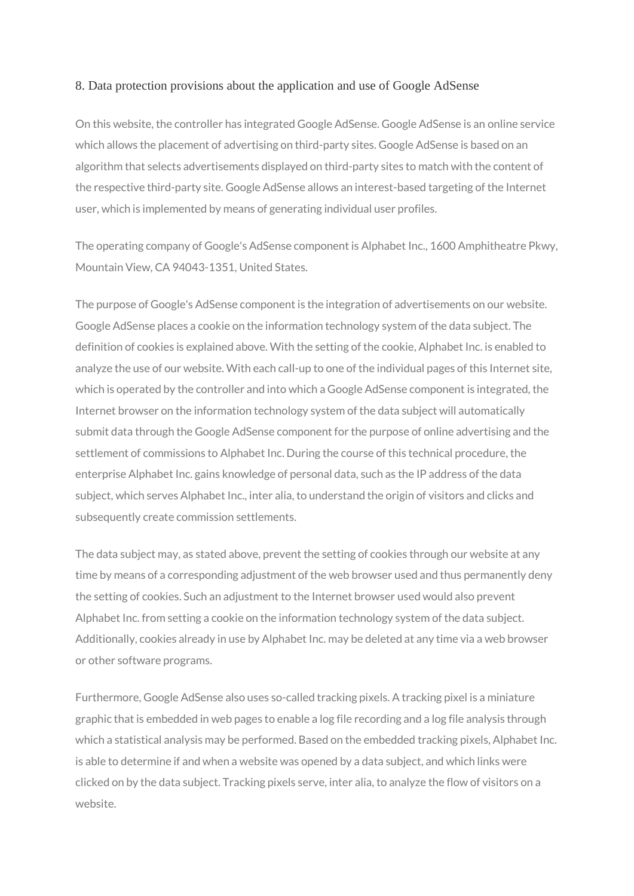### 8. Data protection provisions about the application and use of Google AdSense

On this website, the controller has integrated Google AdSense. Google AdSense is an online service which allows the placement of advertising on third-party sites. Google AdSense is based on an algorithm that selects advertisements displayed on third-party sites to match with the content of the respective third-party site. Google AdSense allows an interest-based targeting of the Internet user, which is implemented by means of generating individual user profiles.

The operating company of Google's AdSense component is Alphabet Inc., 1600 Amphitheatre Pkwy, Mountain View, CA 94043-1351, United States.

The purpose of Google's AdSense component is the integration of advertisements on our website. Google AdSense places a cookie on the information technology system of the data subject. The definition of cookies is explained above. With the setting of the cookie, Alphabet Inc. is enabled to analyze the use of our website. With each call-up to one of the individual pages of this Internet site, which is operated by the controller and into which a Google AdSense component is integrated, the Internet browser on the information technology system of the data subject will automatically submit data through the Google AdSense component for the purpose of online advertising and the settlement of commissions to Alphabet Inc. During the course of this technical procedure, the enterprise Alphabet Inc. gains knowledge of personal data, such as the IP address of the data subject, which serves Alphabet Inc., inter alia, to understand the origin of visitors and clicks and subsequently create commission settlements.

The data subject may, as stated above, prevent the setting of cookies through our website at any time by means of a corresponding adjustment of the web browser used and thus permanently deny the setting of cookies. Such an adjustment to the Internet browser used would also prevent Alphabet Inc. from setting a cookie on the information technology system of the data subject. Additionally, cookies already in use by Alphabet Inc. may be deleted at any time via a web browser or other software programs.

Furthermore, Google AdSense also uses so-called tracking pixels. A tracking pixel is a miniature graphic that is embedded in web pages to enable a log file recording and a log file analysis through which a statistical analysis may be performed. Based on the embedded tracking pixels, Alphabet Inc. is able to determine if and when a website was opened by a data subject, and which links were clicked on by the data subject. Tracking pixels serve, inter alia, to analyze the flow of visitors on a website.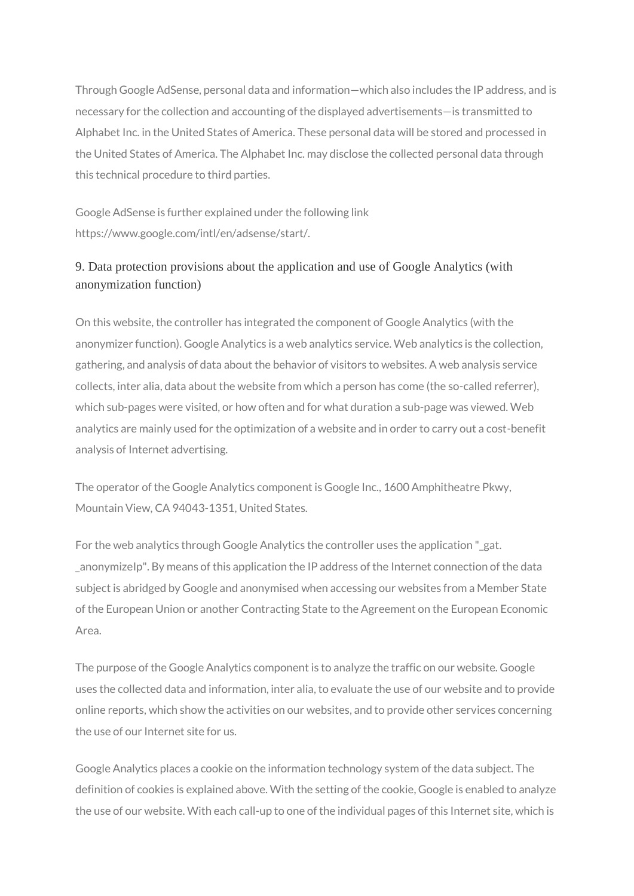Through Google AdSense, personal data and information—which also includes the IP address, and is necessary for the collection and accounting of the displayed advertisements—is transmitted to Alphabet Inc. in the United States of America. These personal data will be stored and processed in the United States of America. The Alphabet Inc. may disclose the collected personal data through this technical procedure to third parties.

Google AdSense is further explained under the following link https://www.google.com/intl/en/adsense/start/.

# 9. Data protection provisions about the application and use of Google Analytics (with anonymization function)

On this website, the controller has integrated the component of Google Analytics (with the anonymizer function). Google Analytics is a web analytics service. Web analytics is the collection, gathering, and analysis of data about the behavior of visitors to websites. A web analysis service collects, inter alia, data about the website from which a person has come (the so-called referrer), which sub-pages were visited, or how often and for what duration a sub-page was viewed. Web analytics are mainly used for the optimization of a website and in order to carry out a cost-benefit analysis of Internet advertising.

The operator of the Google Analytics component is Google Inc., 1600 Amphitheatre Pkwy, Mountain View, CA 94043-1351, United States.

For the web analytics through Google Analytics the controller uses the application " gat. \_anonymizeIp". By means of this application the IP address of the Internet connection of the data subject is abridged by Google and anonymised when accessing our websites from a Member State of the European Union or another Contracting State to the Agreement on the European Economic Area.

The purpose of the Google Analytics component is to analyze the traffic on our website. Google uses the collected data and information, inter alia, to evaluate the use of our website and to provide online reports, which show the activities on our websites, and to provide other services concerning the use of our Internet site for us.

Google Analytics places a cookie on the information technology system of the data subject. The definition of cookies is explained above. With the setting of the cookie, Google is enabled to analyze the use of our website. With each call-up to one of the individual pages of this Internet site, which is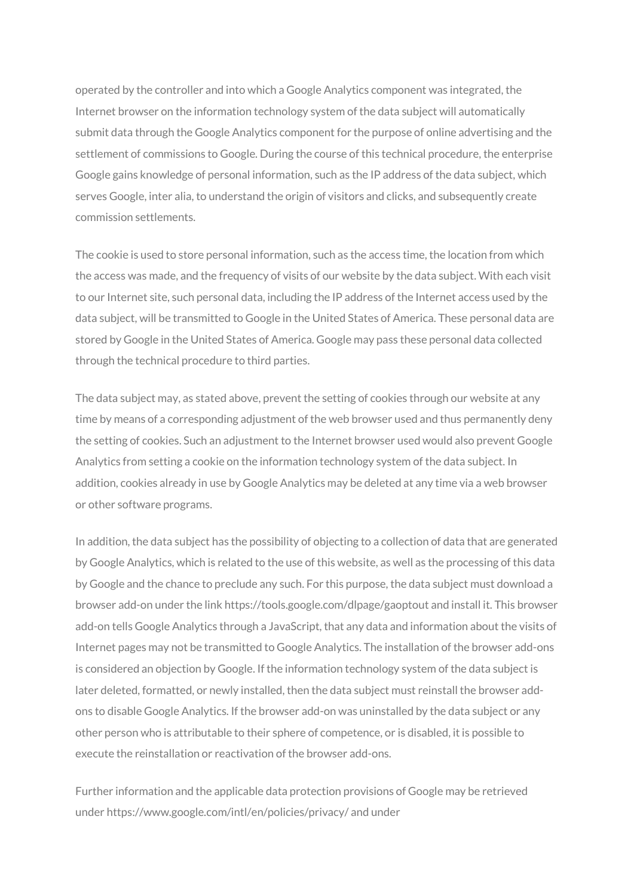operated by the controller and into which a Google Analytics component was integrated, the Internet browser on the information technology system of the data subject will automatically submit data through the Google Analytics component for the purpose of online advertising and the settlement of commissions to Google. During the course of this technical procedure, the enterprise Google gains knowledge of personal information, such as the IP address of the data subject, which serves Google, inter alia, to understand the origin of visitors and clicks, and subsequently create commission settlements.

The cookie is used to store personal information, such as the access time, the location from which the access was made, and the frequency of visits of our website by the data subject. With each visit to our Internet site, such personal data, including the IP address of the Internet access used by the data subject, will be transmitted to Google in the United States of America. These personal data are stored by Google in the United States of America. Google may pass these personal data collected through the technical procedure to third parties.

The data subject may, as stated above, prevent the setting of cookies through our website at any time by means of a corresponding adjustment of the web browser used and thus permanently deny the setting of cookies. Such an adjustment to the Internet browser used would also prevent Google Analytics from setting a cookie on the information technology system of the data subject. In addition, cookies already in use by Google Analytics may be deleted at any time via a web browser or other software programs.

In addition, the data subject has the possibility of objecting to a collection of data that are generated by Google Analytics, which is related to the use of this website, as well as the processing of this data by Google and the chance to preclude any such. For this purpose, the data subject must download a browser add-on under the link https://tools.google.com/dlpage/gaoptout and install it. This browser add-on tells Google Analytics through a JavaScript, that any data and information about the visits of Internet pages may not be transmitted to Google Analytics. The installation of the browser add-ons is considered an objection by Google. If the information technology system of the data subject is later deleted, formatted, or newly installed, then the data subject must reinstall the browser addons to disable Google Analytics. If the browser add-on was uninstalled by the data subject or any other person who is attributable to their sphere of competence, or is disabled, it is possible to execute the reinstallation or reactivation of the browser add-ons.

Further information and the applicable data protection provisions of Google may be retrieved under https://www.google.com/intl/en/policies/privacy/ and under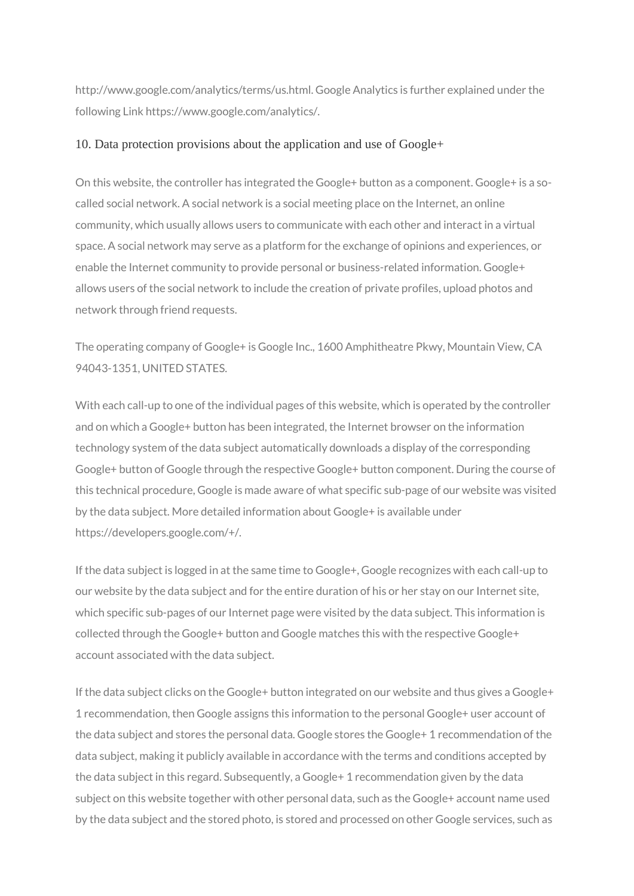http://www.google.com/analytics/terms/us.html. Google Analytics is further explained under the following Link https://www.google.com/analytics/.

#### 10. Data protection provisions about the application and use of Google+

On this website, the controller has integrated the Google+ button as a component. Google+ is a socalled social network. A social network is a social meeting place on the Internet, an online community, which usually allows users to communicate with each other and interact in a virtual space. A social network may serve as a platform for the exchange of opinions and experiences, or enable the Internet community to provide personal or business-related information. Google+ allows users of the social network to include the creation of private profiles, upload photos and network through friend requests.

The operating company of Google+ is Google Inc., 1600 Amphitheatre Pkwy, Mountain View, CA 94043-1351, UNITED STATES.

With each call-up to one of the individual pages of this website, which is operated by the controller and on which a Google+ button has been integrated, the Internet browser on the information technology system of the data subject automatically downloads a display of the corresponding Google+ button of Google through the respective Google+ button component. During the course of this technical procedure, Google is made aware of what specific sub-page of our website was visited by the data subject. More detailed information about Google+ is available under https://developers.google.com/+/.

If the data subject is logged in at the same time to Google+, Google recognizes with each call-up to our website by the data subject and for the entire duration of his or her stay on our Internet site, which specific sub-pages of our Internet page were visited by the data subject. This information is collected through the Google+ button and Google matches this with the respective Google+ account associated with the data subject.

If the data subject clicks on the Google+ button integrated on our website and thus gives a Google+ 1 recommendation, then Google assigns this information to the personal Google+ user account of the data subject and stores the personal data. Google stores the Google+ 1 recommendation of the data subject, making it publicly available in accordance with the terms and conditions accepted by the data subject in this regard. Subsequently, a Google+ 1 recommendation given by the data subject on this website together with other personal data, such as the Google+ account name used by the data subject and the stored photo, is stored and processed on other Google services, such as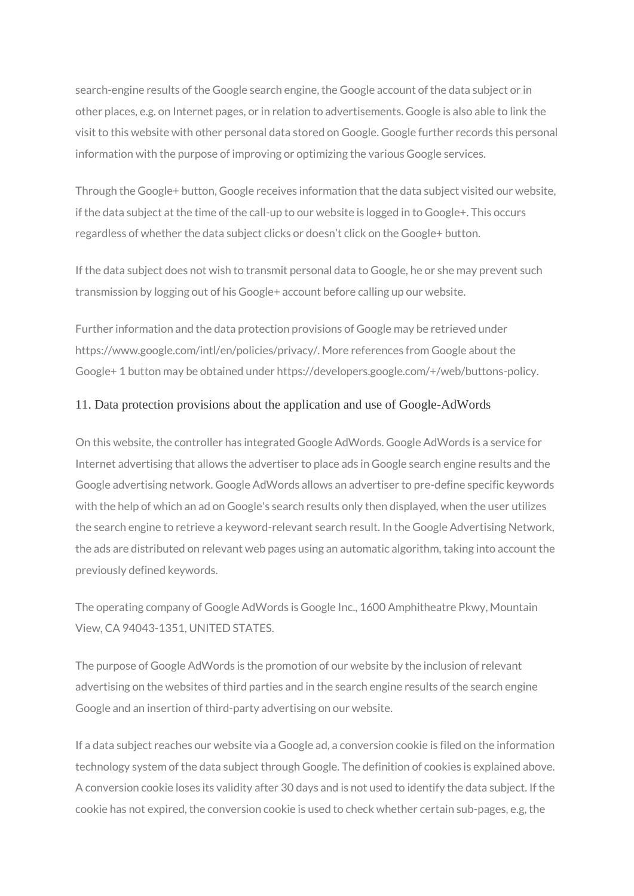search-engine results of the Google search engine, the Google account of the data subject or in other places, e.g. on Internet pages, or in relation to advertisements. Google is also able to link the visit to this website with other personal data stored on Google. Google further records this personal information with the purpose of improving or optimizing the various Google services.

Through the Google+ button, Google receives information that the data subject visited our website, if the data subject at the time of the call-up to our website is logged in to Google+. This occurs regardless of whether the data subject clicks or doesn't click on the Google+ button.

If the data subject does not wish to transmit personal data to Google, he or she may prevent such transmission by logging out of his Google+ account before calling up our website.

Further information and the data protection provisions of Google may be retrieved under https://www.google.com/intl/en/policies/privacy/. More references from Google about the Google+ 1 button may be obtained under https://developers.google.com/+/web/buttons-policy.

#### 11. Data protection provisions about the application and use of Google-AdWords

On this website, the controller has integrated Google AdWords. Google AdWords is a service for Internet advertising that allows the advertiser to place ads in Google search engine results and the Google advertising network. Google AdWords allows an advertiser to pre-define specific keywords with the help of which an ad on Google's search results only then displayed, when the user utilizes the search engine to retrieve a keyword-relevant search result. In the Google Advertising Network, the ads are distributed on relevant web pages using an automatic algorithm, taking into account the previously defined keywords.

The operating company of Google AdWords is Google Inc., 1600 Amphitheatre Pkwy, Mountain View, CA 94043-1351, UNITED STATES.

The purpose of Google AdWords is the promotion of our website by the inclusion of relevant advertising on the websites of third parties and in the search engine results of the search engine Google and an insertion of third-party advertising on our website.

If a data subject reaches our website via a Google ad, a conversion cookie is filed on the information technology system of the data subject through Google. The definition of cookies is explained above. A conversion cookie loses its validity after 30 days and is not used to identify the data subject. If the cookie has not expired, the conversion cookie is used to check whether certain sub-pages, e.g, the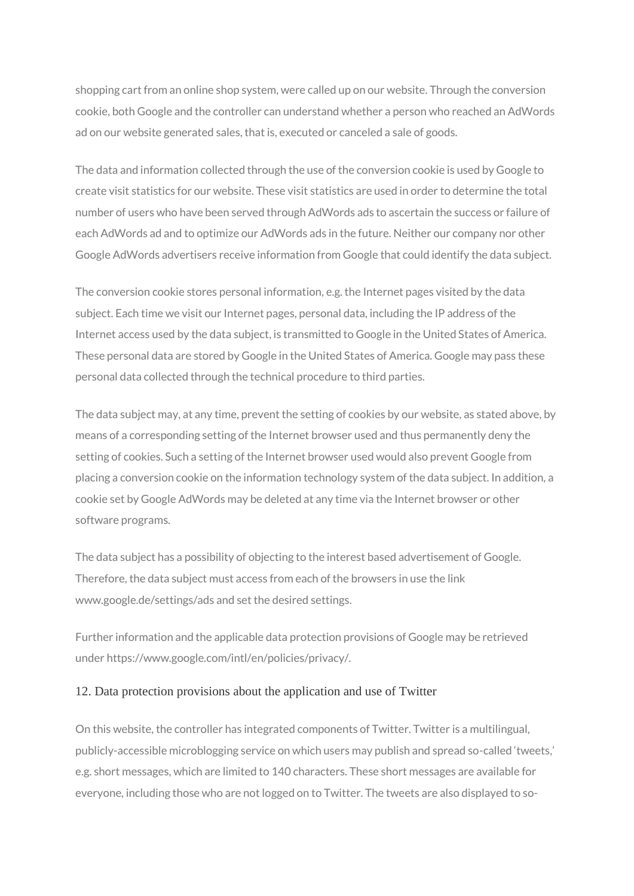shopping cart from an online shop system, were called up on our website. Through the conversion cookie, both Google and the controller can understand whether a person who reached an AdWords ad on our website generated sales, that is, executed or canceled a sale of goods.

The data and information collected through the use of the conversion cookie is used by Google to create visit statistics for our website. These visit statistics are used in order to determine the total number of users who have been served through AdWords ads to ascertain the success or failure of each AdWords ad and to optimize our AdWords ads in the future. Neither our company nor other Google AdWords advertisers receive information from Google that could identify the data subject.

The conversion cookie stores personal information, e.g. the Internet pages visited by the data subject. Each time we visit our Internet pages, personal data, including the IP address of the Internet access used by the data subject, is transmitted to Google in the United States of America. These personal data are stored by Google in the United States of America. Google may pass these personal data collected through the technical procedure to third parties.

The data subject may, at any time, prevent the setting of cookies by our website, as stated above, by means of a corresponding setting of the Internet browser used and thus permanently deny the setting of cookies. Such a setting of the Internet browser used would also prevent Google from placing a conversion cookie on the information technology system of the data subject. In addition, a cookie set by Google AdWords may be deleted at any time via the Internet browser or other software programs.

The data subject has a possibility of objecting to the interest based advertisement of Google. Therefore, the data subject must access from each of the browsers in use the link www.google.de/settings/ads and set the desired settings.

Further information and the applicable data protection provisions of Google may be retrieved under https://www.google.com/intl/en/policies/privacy/.

#### 12. Data protection provisions about the application and use of Twitter

On this website, the controller has integrated components of Twitter. Twitter is a multilingual, publicly-accessible microblogging service on which users may publish and spread so-called 'tweets,' e.g. short messages, which are limited to 140 characters. These short messages are available for everyone, including those who are not logged on to Twitter. The tweets are also displayed to so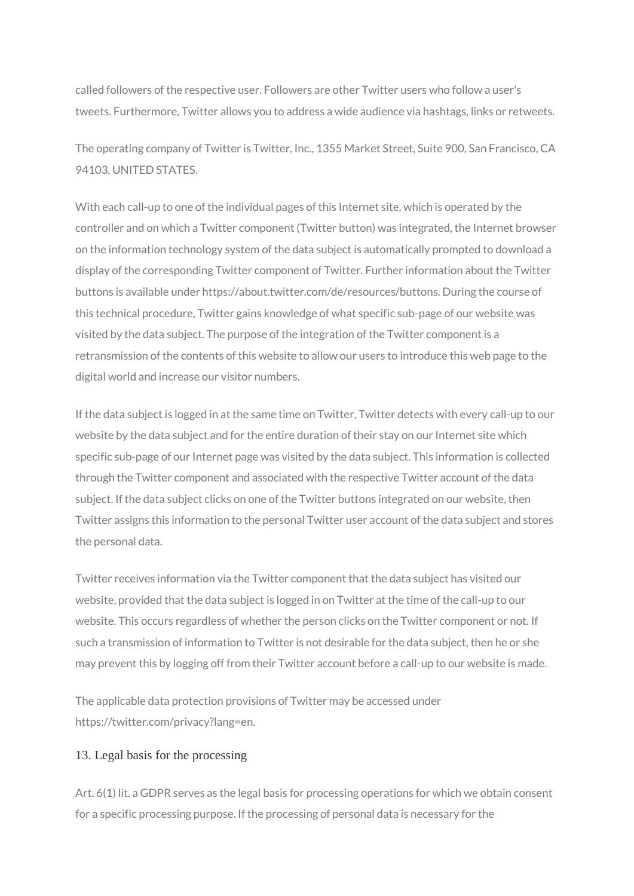called followers of the respective user. Followers are other Twitter users who follow a user's tweets. Furthermore, Twitter allows you to address a wide audience via hashtags, links or retweets.

The operating company of Twitter is Twitter, Inc., 1355 Market Street, Suite 900, San Francisco, CA 94103, UNITED STATES.

With each call-up to one of the individual pages of this Internet site, which is operated by the controller and on which a Twitter component (Twitter button) was integrated, the Internet browser on the information technology system of the data subject is automatically prompted to download a display of the corresponding Twitter component of Twitter. Further information about the Twitter buttons is available under https://about.twitter.com/de/resources/buttons. During the course of this technical procedure, Twitter gains knowledge of what specific sub-page of our website was visited by the data subject. The purpose of the integration of the Twitter component is a retransmission of the contents of this website to allow our users to introduce this web page to the digital world and increase our visitor numbers.

If the data subject is logged in at the same time on Twitter, Twitter detects with every call-up to our website by the data subject and for the entire duration of their stay on our Internet site which specific sub-page of our Internet page was visited by the data subject. This information is collected through the Twitter component and associated with the respective Twitter account of the data subject. If the data subject clicks on one of the Twitter buttons integrated on our website, then Twitter assigns this information to the personal Twitter user account of the data subject and stores the personal data.

Twitter receives information via the Twitter component that the data subject has visited our website, provided that the data subject is logged in on Twitter at the time of the call-up to our website. This occurs regardless of whether the person clicks on the Twitter component or not. If such a transmission of information to Twitter is not desirable for the data subject, then he or she may prevent this by logging off from their Twitter account before a call-up to our website is made.

The applicable data protection provisions of Twitter may be accessed under https://twitter.com/privacy?lang=en.

#### 13. Legal basis for the processing

Art. 6(1) lit. a GDPR serves as the legal basis for processing operations for which we obtain consent for a specific processing purpose. If the processing of personal data is necessary for the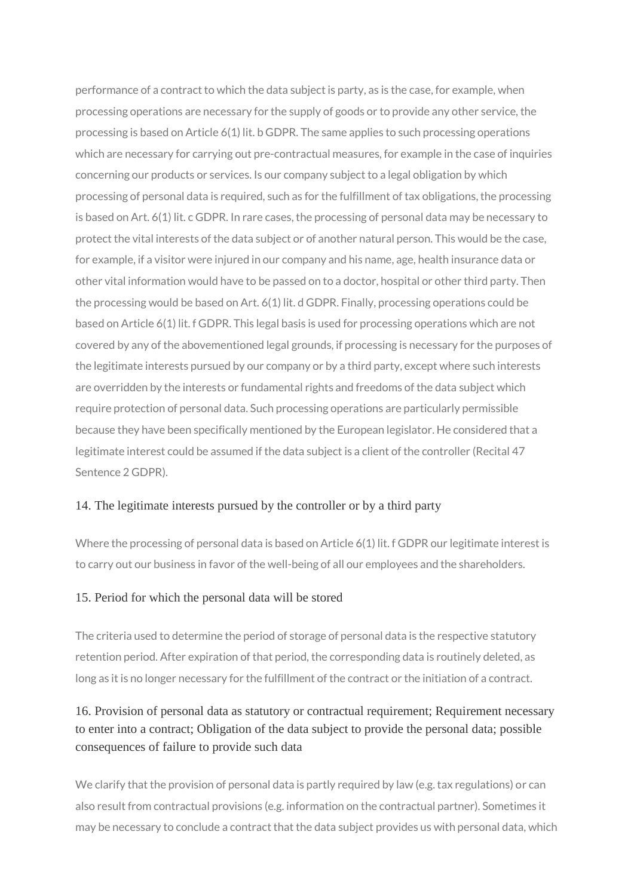performance of a contract to which the data subject is party, as is the case, for example, when processing operations are necessary for the supply of goods or to provide any other service, the processing is based on Article 6(1) lit. b GDPR. The same applies to such processing operations which are necessary for carrying out pre-contractual measures, for example in the case of inquiries concerning our products or services. Is our company subject to a legal obligation by which processing of personal data is required, such as for the fulfillment of tax obligations, the processing is based on Art. 6(1) lit. c GDPR. In rare cases, the processing of personal data may be necessary to protect the vital interests of the data subject or of another natural person. This would be the case, for example, if a visitor were injured in our company and his name, age, health insurance data or other vital information would have to be passed on to a doctor, hospital or other third party. Then the processing would be based on Art. 6(1) lit. d GDPR. Finally, processing operations could be based on Article 6(1) lit. f GDPR. This legal basis is used for processing operations which are not covered by any of the abovementioned legal grounds, if processing is necessary for the purposes of the legitimate interests pursued by our company or by a third party, except where such interests are overridden by the interests or fundamental rights and freedoms of the data subject which require protection of personal data. Such processing operations are particularly permissible because they have been specifically mentioned by the European legislator. He considered that a legitimate interest could be assumed if the data subject is a client of the controller (Recital 47 Sentence 2 GDPR).

#### 14. The legitimate interests pursued by the controller or by a third party

Where the processing of personal data is based on Article 6(1) lit. f GDPR our legitimate interest is to carry out our business in favor of the well-being of all our employees and the shareholders.

#### 15. Period for which the personal data will be stored

The criteria used to determine the period of storage of personal data is the respective statutory retention period. After expiration of that period, the corresponding data is routinely deleted, as long as it is no longer necessary for the fulfillment of the contract or the initiation of a contract.

# 16. Provision of personal data as statutory or contractual requirement; Requirement necessary to enter into a contract; Obligation of the data subject to provide the personal data; possible consequences of failure to provide such data

We clarify that the provision of personal data is partly required by law (e.g. tax regulations) or can also result from contractual provisions (e.g. information on the contractual partner). Sometimes it may be necessary to conclude a contract that the data subject provides us with personal data, which